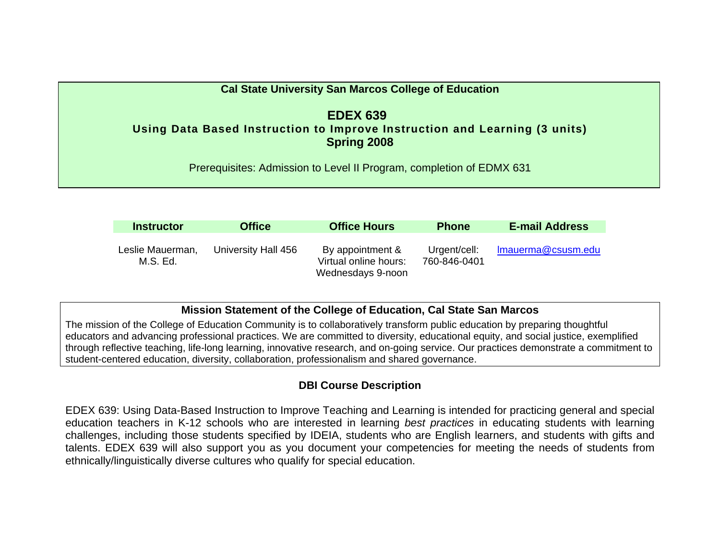| <b>Cal State University San Marcos College of Education</b>                                                         |
|---------------------------------------------------------------------------------------------------------------------|
| <b>EDEX 639</b><br>Using Data Based Instruction to Improve Instruction and Learning (3 units)<br><b>Spring 2008</b> |
| Prerequisites: Admission to Level II Program, completion of EDMX 631                                                |

| <b>Instructor</b>            | <b>Office</b>       | <b>Office Hours</b>                                            | <b>Phone</b>                 | <b>E-mail Address</b> |
|------------------------------|---------------------|----------------------------------------------------------------|------------------------------|-----------------------|
| Leslie Mauerman,<br>M.S. Ed. | University Hall 456 | By appointment &<br>Virtual online hours:<br>Wednesdays 9-noon | Urgent/cell:<br>760-846-0401 | Imauerma@csusm.edu    |

# **Mission Statement of the College of Education, Cal State San Marcos**

The mission of the College of Education Community is to collaboratively transform public education by preparing thoughtful educators and advancing professional practices. We are committed to diversity, educational equity, and social justice, exemplified through reflective teaching, life-long learning, innovative research, and on-going service. Our practices demonstrate a commitment to student-centered education, diversity, collaboration, professionalism and shared governance.

# **DBI Course Description**

EDEX 639: Using Data-Based Instruction to Improve Teaching and Learning is intended for practicing general and special education teachers in K-12 schools who are interested in learning *best practices* in educating students with learning challenges, including those students specified by IDEIA, students who are English learners, and students with gifts and talents. EDEX 639 will also support you as you document your competencies for meeting the needs of students from ethnically/linguistically diverse cultures who qualify for special education.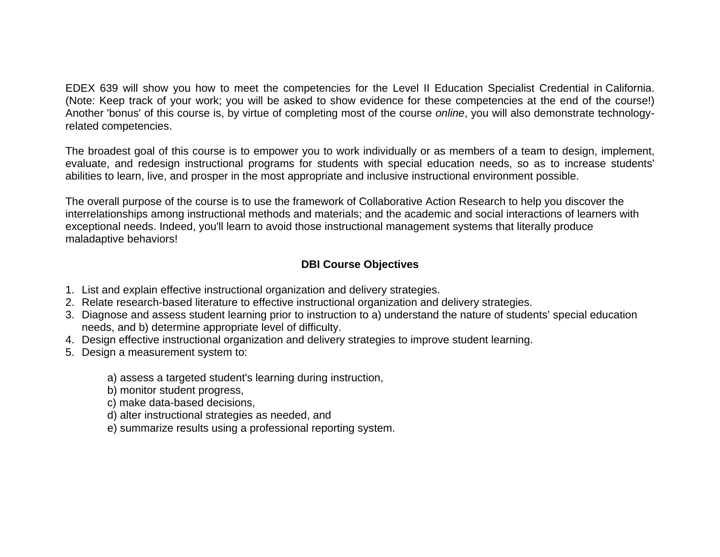EDEX 639 will show you how to meet the competencies for the Level II Education Specialist Credential in California. (Note: Keep track of your work; you will be asked to show evidence for these competencies at the end of the course!) Another 'bonus' of this course is, by virtue of completing most of the course *online*, you will also demonstrate technologyrelated competencies.

The broadest goal of this course is to empower you to work individually or as members of a team to design, implement, evaluate, and redesign instructional programs for students with special education needs, so as to increase students' abilities to learn, live, and prosper in the most appropriate and inclusive instructional environment possible.

The overall purpose of the course is to use the framework of Collaborative Action Research to help you discover the interrelationships among instructional methods and materials; and the academic and social interactions of learners with exceptional needs. Indeed, you'll learn to avoid those instructional management systems that literally produce maladaptive behaviors!

# **DBI Course Objectives**

- 1. List and explain effective instructional organization and delivery strategies.
- 2. Relate research-based literature to effective instructional organization and delivery strategies.
- 3. Diagnose and assess student learning prior to instruction to a) understand the nature of students' special education needs, and b) determine appropriate level of difficulty.
- 4. Design effective instructional organization and delivery strategies to improve student learning.
- 5. Design a measurement system to:
	- a) assess a targeted student's learning during instruction,
	- b) monitor student progress,
	- c) make data-based decisions,
	- d) alter instructional strategies as needed, and
	- e) summarize results using a professional reporting system.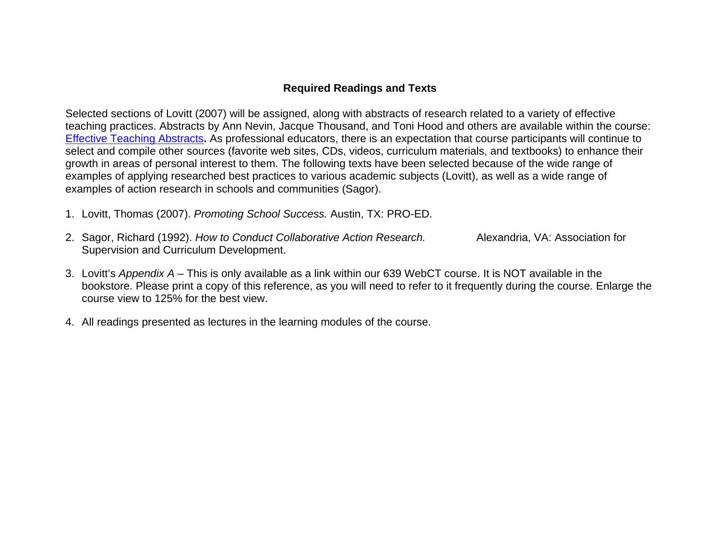### **Required Readings and Texts**

Selected sections of Lovitt (2007) will be assigned, along with abstracts of research related to a variety of effective teaching practices. Abstracts by Ann Nevin, Jacque Thousand, and Toni Hood and others are available within the course: Effective Teaching Abstracts**.** As professional educators, there is an expectation that course participants will continue to select and compile other sources (favorite web sites, CDs, videos, curriculum materials, and textbooks) to enhance their growth in areas of personal interest to them. The following texts have been selected because of the wide range of examples of applying researched best practices to various academic subjects (Lovitt), as well as a wide range of examples of action research in schools and communities (Sagor).

- 1. Lovitt, Thomas (2007). *Promoting School Success.* Austin, TX: PRO-ED.
- 2. Sagor, Richard (1992). *How to Conduct Collaborative Action Research.* Alexandria, VA: Association for Supervision and Curriculum Development.
- 3. Lovitt's *Appendix A* This is only available as a link within our 639 WebCT course. It is NOT available in the bookstore. Please print a copy of this reference, as you will need to refer to it frequently during the course. Enlarge the course view to 125% for the best view.
- 4. All readings presented as lectures in the learning modules of the course.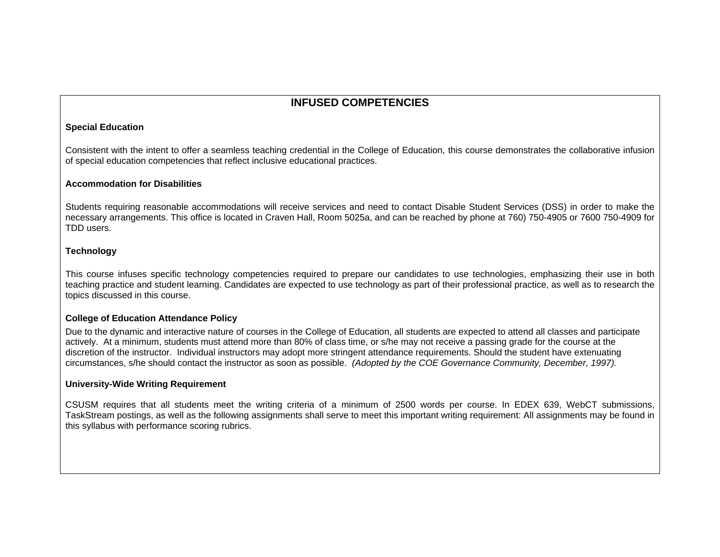### **INFUSED COMPETENCIES**

#### **Special Education**

Consistent with the intent to offer a seamless teaching credential in the College of Education, this course demonstrates the collaborative infusion of special education competencies that reflect inclusive educational practices.

#### **Accommodation for Disabilities**

Students requiring reasonable accommodations will receive services and need to contact Disable Student Services (DSS) in order to make the necessary arrangements. This office is located in Craven Hall, Room 5025a, and can be reached by phone at 760) 750-4905 or 7600 750-4909 for TDD users.

#### **Technology**

This course infuses specific technology competencies required to prepare our candidates to use technologies, emphasizing their use in both teaching practice and student learning. Candidates are expected to use technology as part of their professional practice, as well as to research the topics discussed in this course.

#### **College of Education Attendance Policy**

Due to the dynamic and interactive nature of courses in the College of Education, all students are expected to attend all classes and participate actively. At a minimum, students must attend more than 80% of class time, or s/he may not receive a passing grade for the course at the discretion of the instructor. Individual instructors may adopt more stringent attendance requirements. Should the student have extenuating circumstances, s/he should contact the instructor as soon as possible. *(Adopted by the COE Governance Community, December, 1997).*

#### **University-Wide Writing Requirement**

CSUSM requires that all students meet the writing criteria of a minimum of 2500 words per course. In EDEX 639, WebCT submissions, TaskStream postings, as well as the following assignments shall serve to meet this important writing requirement: All assignments may be found in this syllabus with performance scoring rubrics.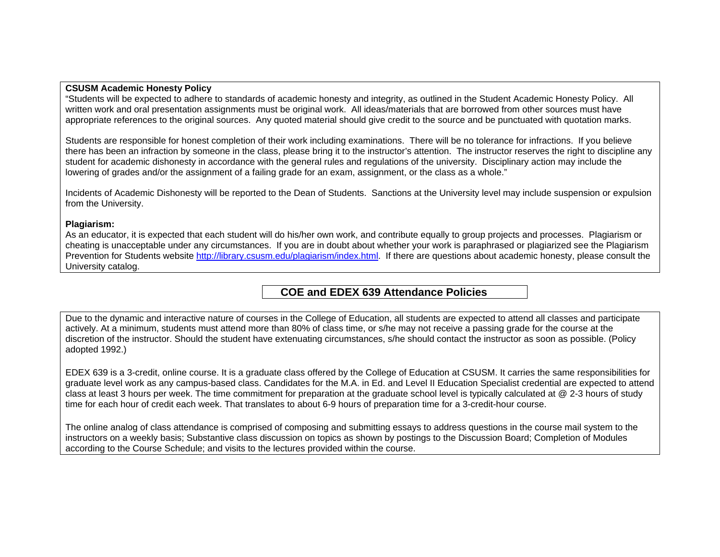#### **CSUSM Academic Honesty Policy**

"Students will be expected to adhere to standards of academic honesty and integrity, as outlined in the Student Academic Honesty Policy. All written work and oral presentation assignments must be original work. All ideas/materials that are borrowed from other sources must have appropriate references to the original sources. Any quoted material should give credit to the source and be punctuated with quotation marks.

Students are responsible for honest completion of their work including examinations. There will be no tolerance for infractions. If you believe there has been an infraction by someone in the class, please bring it to the instructor's attention. The instructor reserves the right to discipline any student for academic dishonesty in accordance with the general rules and regulations of the university. Disciplinary action may include the lowering of grades and/or the assignment of a failing grade for an exam, assignment, or the class as a whole."

Incidents of Academic Dishonesty will be reported to the Dean of Students. Sanctions at the University level may include suspension or expulsion from the University.

#### **Plagiarism:**

As an educator, it is expected that each student will do his/her own work, and contribute equally to group projects and processes. Plagiarism or cheating is unacceptable under any circumstances. If you are in doubt about whether your work is paraphrased or plagiarized see the Plagiarism Prevention for Students website http://library.csusm.edu/plagiarism/index.html. If there are questions about academic honesty, please consult the University catalog.

 **COE and EDEX 639 Attendance Policies** 

Due to the dynamic and interactive nature of courses in the College of Education, all students are expected to attend all classes and participate actively. At a minimum, students must attend more than 80% of class time, or s/he may not receive a passing grade for the course at the discretion of the instructor. Should the student have extenuating circumstances, s/he should contact the instructor as soon as possible. (Policy adopted 1992.)

EDEX 639 is a 3-credit, online course. It is a graduate class offered by the College of Education at CSUSM. It carries the same responsibilities for graduate level work as any campus-based class. Candidates for the M.A. in Ed. and Level II Education Specialist credential are expected to attend class at least 3 hours per week. The time commitment for preparation at the graduate school level is typically calculated at @ 2-3 hours of study time for each hour of credit each week. That translates to about 6-9 hours of preparation time for a 3-credit-hour course.

The online analog of class attendance is comprised of composing and submitting essays to address questions in the course mail system to the instructors on a weekly basis; Substantive class discussion on topics as shown by postings to the Discussion Board; Completion of Modules according to the Course Schedule; and visits to the lectures provided within the course.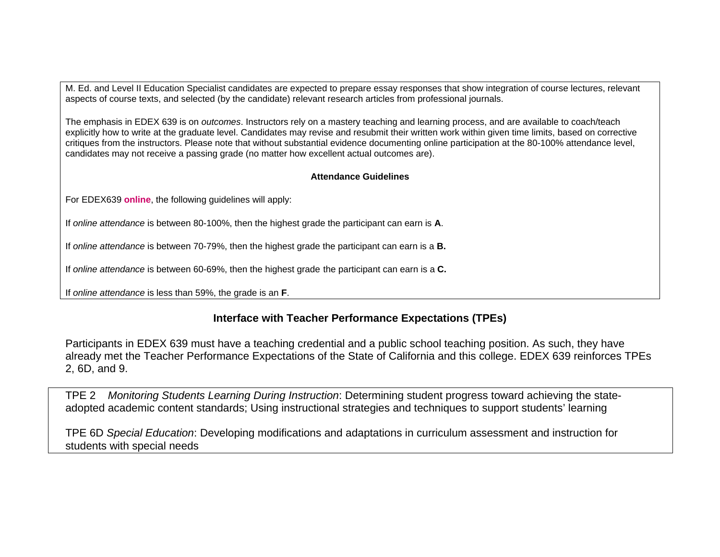M. Ed. and Level II Education Specialist candidates are expected to prepare essay responses that show integration of course lectures, relevant aspects of course texts, and selected (by the candidate) relevant research articles from professional journals.

The emphasis in EDEX 639 is on *outcomes*. Instructors rely on a mastery teaching and learning process, and are available to coach/teach explicitly how to write at the graduate level. Candidates may revise and resubmit their written work within given time limits, based on corrective critiques from the instructors. Please note that without substantial evidence documenting online participation at the 80-100% attendance level, candidates may not receive a passing grade (no matter how excellent actual outcomes are).

#### **Attendance Guidelines**

For EDEX639 **online**, the following guidelines will apply:

If *online attendance* is between 80-100%, then the highest grade the participant can earn is **A**.

If *online attendance* is between 70-79%, then the highest grade the participant can earn is a **B.** 

If *online attendance* is between 60-69%, then the highest grade the participant can earn is a **C.**

If *online attendance* is less than 59%, the grade is an **F**.

### **Interface with Teacher Performance Expectations (TPEs)**

Participants in EDEX 639 must have a teaching credential and a public school teaching position. As such, they have already met the Teacher Performance Expectations of the State of California and this college. EDEX 639 reinforces TPEs 2, 6D, and 9.

TPE 2 *Monitoring Students Learning During Instruction*: Determining student progress toward achieving the stateadopted academic content standards; Using instructional strategies and techniques to support students' learning

TPE 6D *Special Education*: Developing modifications and adaptations in curriculum assessment and instruction for students with special needs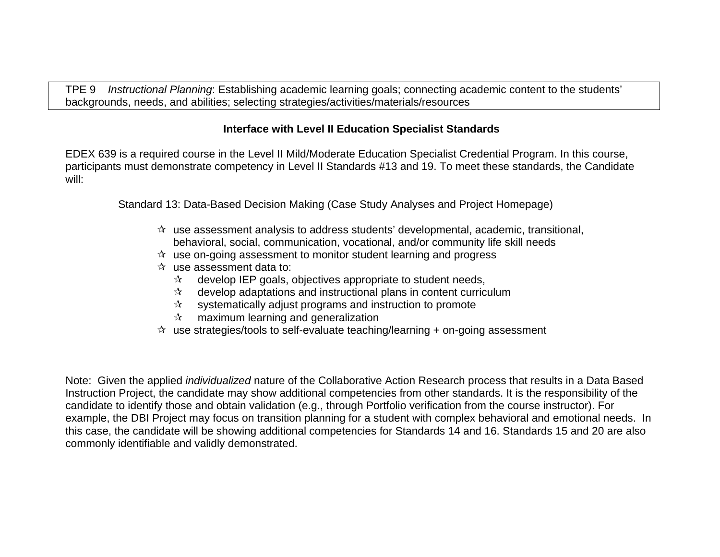TPE 9 *Instructional Planning*: Establishing academic learning goals; connecting academic content to the students' backgrounds, needs, and abilities; selecting strategies/activities/materials/resources

### **Interface with Level II Education Specialist Standards**

EDEX 639 is a required course in the Level II Mild/Moderate Education Specialist Credential Program. In this course, participants must demonstrate competency in Level II Standards #13 and 19. To meet these standards, the Candidate will:

Standard 13: Data-Based Decision Making (Case Study Analyses and Project Homepage)

- $\mathcal{A}$  use assessment analysis to address students' developmental, academic, transitional, behavioral, social, communication, vocational, and/or community life skill needs
- $\hat{x}$  use on-going assessment to monitor student learning and progress
- $\mathcal{R}$  use assessment data to:
	- $\mathcal{A}$  develop IEP goals, objectives appropriate to student needs,
	- $\mathbf{\hat{x}}$  develop adaptations and instructional plans in content curriculum
	- $\mathbf{\hat{x}}$  systematically adjust programs and instruction to promote
	- $\mathbf{\hat{x}}$  maximum learning and generalization
- $\hat{x}$  use strategies/tools to self-evaluate teaching/learning + on-going assessment

Note: Given the applied *individualized* nature of the Collaborative Action Research process that results in a Data Based Instruction Project, the candidate may show additional competencies from other standards. It is the responsibility of the candidate to identify those and obtain validation (e.g., through Portfolio verification from the course instructor). For example, the DBI Project may focus on transition planning for a student with complex behavioral and emotional needs. In this case, the candidate will be showing additional competencies for Standards 14 and 16. Standards 15 and 20 are also commonly identifiable and validly demonstrated.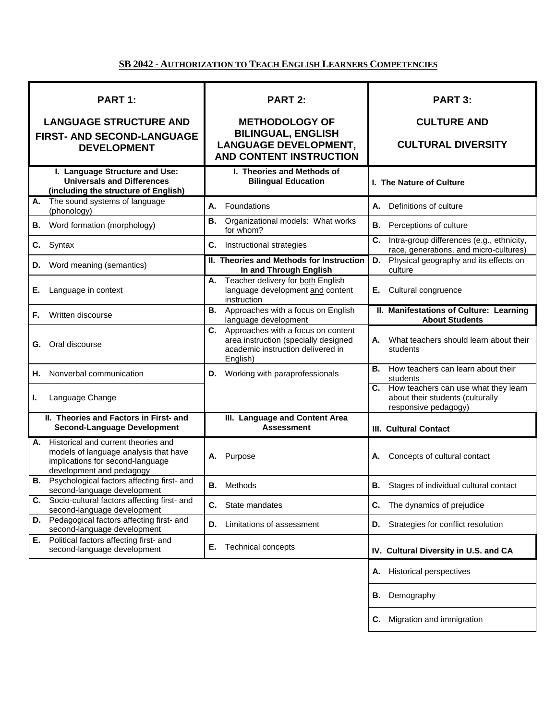### **SB 2042 - AUTHORIZATION TO TEACH ENGLISH LEARNERS COMPETENCIES**

| PART 1:                                                                                                                                            | <b>PART 2:</b>                                                                                                                 | <b>PART 3:</b>                                                                                         |  |
|----------------------------------------------------------------------------------------------------------------------------------------------------|--------------------------------------------------------------------------------------------------------------------------------|--------------------------------------------------------------------------------------------------------|--|
| <b>LANGUAGE STRUCTURE AND</b>                                                                                                                      | <b>METHODOLOGY OF</b>                                                                                                          | <b>CULTURE AND</b>                                                                                     |  |
| FIRST- AND SECOND-LANGUAGE<br><b>DEVELOPMENT</b>                                                                                                   | <b>BILINGUAL, ENGLISH</b><br><b>LANGUAGE DEVELOPMENT,</b><br><b>AND CONTENT INSTRUCTION</b>                                    | <b>CULTURAL DIVERSITY</b>                                                                              |  |
| I. Language Structure and Use:<br><b>Universals and Differences</b><br>(including the structure of English)                                        | I. Theories and Methods of<br><b>Bilingual Education</b>                                                                       | I. The Nature of Culture                                                                               |  |
| The sound systems of language<br>А.<br>(phonology)                                                                                                 | Foundations<br>А.                                                                                                              | Definitions of culture<br>А.                                                                           |  |
| Word formation (morphology)<br>В.                                                                                                                  | Organizational models: What works<br>В.<br>for whom?                                                                           | Perceptions of culture<br>В.                                                                           |  |
| Syntax<br>C.                                                                                                                                       | С.<br>Instructional strategies                                                                                                 | C.<br>Intra-group differences (e.g., ethnicity,<br>race, generations, and micro-cultures)              |  |
| Word meaning (semantics)<br>D.                                                                                                                     | II. Theories and Methods for Instruction<br>In and Through English                                                             | Physical geography and its effects on<br>D.<br>culture                                                 |  |
| Е.<br>Language in context                                                                                                                          | Teacher delivery for both English<br>А.<br>language development and content<br>instruction                                     | Cultural congruence<br>Е.                                                                              |  |
| Written discourse<br>F.                                                                                                                            | Approaches with a focus on English<br>В.<br>language development                                                               | II. Manifestations of Culture: Learning<br><b>About Students</b>                                       |  |
| Oral discourse<br>G.                                                                                                                               | C. Approaches with a focus on content<br>area instruction (specially designed<br>academic instruction delivered in<br>English) | What teachers should learn about their<br>А.<br>students                                               |  |
| Nonverbal communication<br>Η.                                                                                                                      | Working with paraprofessionals<br>D.                                                                                           | How teachers can learn about their<br>В.<br>students                                                   |  |
| Language Change<br>L.                                                                                                                              |                                                                                                                                | How teachers can use what they learn<br>C.<br>about their students (culturally<br>responsive pedagogy) |  |
| II. Theories and Factors in First- and<br><b>Second-Language Development</b>                                                                       | III. Language and Content Area<br><b>Assessment</b>                                                                            | <b>III. Cultural Contact</b>                                                                           |  |
| Historical and current theories and<br>А.<br>models of language analysis that have<br>implications for second-language<br>development and pedagogy | Purpose<br>А.                                                                                                                  | Concepts of cultural contact<br>А.                                                                     |  |
| <b>B.</b> Psychological factors affecting first- and<br>second-language development                                                                | В.<br>Methods                                                                                                                  | Stages of individual cultural contact<br>В.                                                            |  |
| Socio-cultural factors affecting first- and<br>С.<br>second-language development                                                                   | C.<br>State mandates                                                                                                           | The dynamics of prejudice<br>С.                                                                        |  |
| Pedagogical factors affecting first- and<br>D.<br>second-language development                                                                      | Limitations of assessment<br>D.                                                                                                | Strategies for conflict resolution<br>D.                                                               |  |
| Political factors affecting first- and<br>Е.<br>second-language development                                                                        | Е.<br><b>Technical concepts</b>                                                                                                | IV. Cultural Diversity in U.S. and CA                                                                  |  |
|                                                                                                                                                    |                                                                                                                                | A. Historical perspectives                                                                             |  |
|                                                                                                                                                    |                                                                                                                                | Demography<br>В.                                                                                       |  |

**C.** Migration and immigration